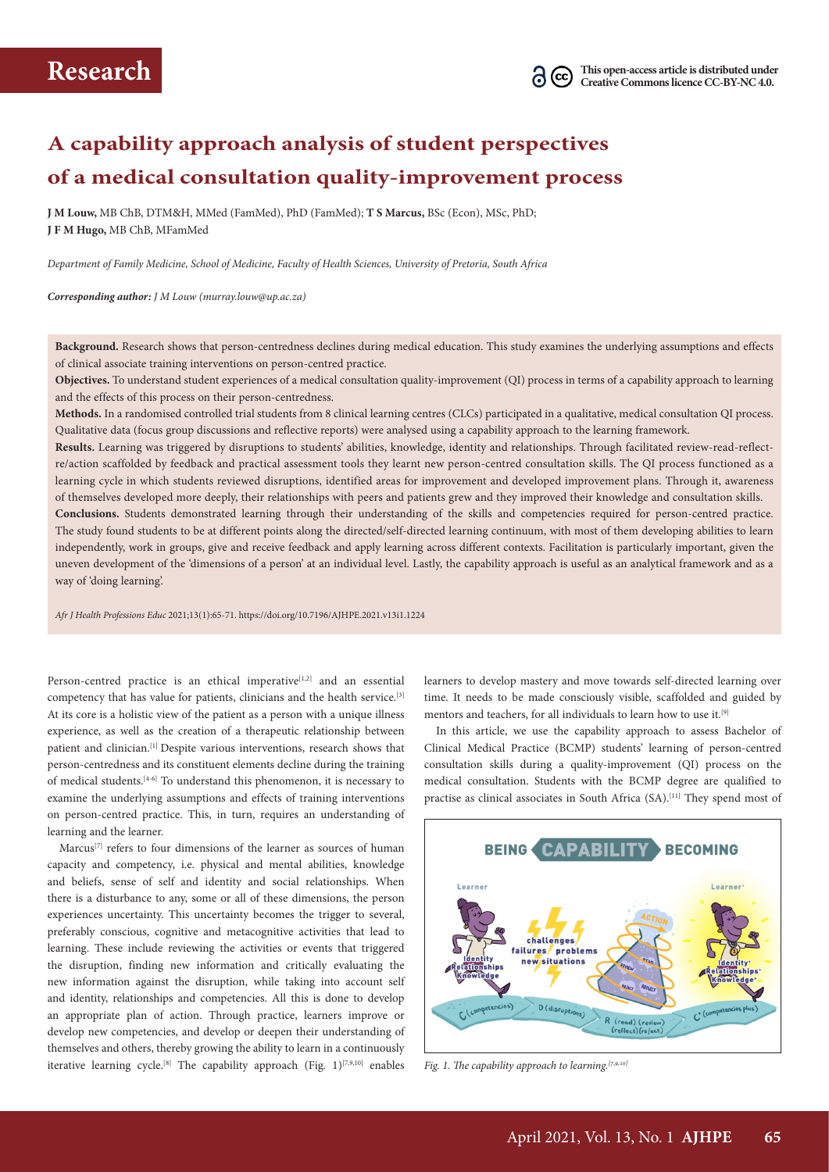## **A capability approach analysis of student perspectives of a medical consultation quality-improvement process**

**J M Louw,** MB ChB, DTM&H, MMed (FamMed), PhD (FamMed); **T S Marcus,** BSc (Econ), MSc, PhD; **J F M Hugo,** MB ChB, MFamMed

*Department of Family Medicine, School of Medicine, Faculty of Health Sciences, University of Pretoria, South Africa*

*Corresponding author: J M Louw (murray.louw@up.ac.za)*

**Background.** Research shows that person-centredness declines during medical education. This study examines the underlying assumptions and effects of clinical associate training interventions on person-centred practice.

**Objectives.** To understand student experiences of a medical consultation quality-improvement (QI) process in terms of a capability approach to learning and the effects of this process on their person-centredness.

**Methods.** In a randomised controlled trial students from 8 clinical learning centres (CLCs) participated in a qualitative, medical consultation QI process. Qualitative data (focus group discussions and reflective reports) were analysed using a capability approach to the learning framework.

**Results.** Learning was triggered by disruptions to students' abilities, knowledge, identity and relationships. Through facilitated review-read-reflectre/action scaffolded by feedback and practical assessment tools they learnt new person-centred consultation skills. The QI process functioned as a learning cycle in which students reviewed disruptions, identified areas for improvement and developed improvement plans. Through it, awareness of themselves developed more deeply, their relationships with peers and patients grew and they improved their knowledge and consultation skills.

**Conclusions.** Students demonstrated learning through their understanding of the skills and competencies required for person-centred practice. The study found students to be at different points along the directed/self-directed learning continuum, with most of them developing abilities to learn independently, work in groups, give and receive feedback and apply learning across different contexts. Facilitation is particularly important, given the uneven development of the 'dimensions of a person' at an individual level. Lastly, the capability approach is useful as an analytical framework and as a way of 'doing learning'.

*Afr J Health Professions Educ* 2021;13(1):65-71. https://doi.org/10.7196/AJHPE.2021.v13i1.1224

Person-centred practice is an ethical imperative<sup>[1,2]</sup> and an essential competency that has value for patients, clinicians and the health service.[3] At its core is a holistic view of the patient as a person with a unique illness experience, as well as the creation of a therapeutic relationship between patient and clinician.<sup>[1]</sup> Despite various interventions, research shows that person-centredness and its constituent elements decline during the training of medical students.[4-6] To understand this phenomenon, it is necessary to examine the underlying assumptions and effects of training interventions on person-centred practice. This, in turn, requires an understanding of learning and the learner.

Marcus<sup>[7]</sup> refers to four dimensions of the learner as sources of human capacity and competency, i.e. physical and mental abilities, knowledge and beliefs, sense of self and identity and social relationships. When there is a disturbance to any, some or all of these dimensions, the person experiences uncertainty. This uncertainty becomes the trigger to several, preferably conscious, cognitive and metacognitive activities that lead to learning. These include reviewing the activities or events that triggered the disruption, finding new information and critically evaluating the new information against the disruption, while taking into account self and identity, relationships and competencies. All this is done to develop an appropriate plan of action. Through practice, learners improve or develop new competencies, and develop or deepen their understanding of themselves and others, thereby growing the ability to learn in a continuously iterative learning cycle.<sup>[8]</sup> The capability approach (Fig. 1)<sup>[7,9,10]</sup> enables

learners to develop mastery and move towards self-directed learning over time. It needs to be made consciously visible, scaffolded and guided by mentors and teachers, for all individuals to learn how to use it.<sup>[9]</sup>

In this article, we use the capability approach to assess Bachelor of Clinical Medical Practice (BCMP) students' learning of person-centred consultation skills during a quality-improvement (QI) process on the medical consultation. Students with the BCMP degree are qualified to practise as clinical associates in South Africa (SA).<sup>[11]</sup> They spend most of



*Fig. 1. The capability approach to learning.[7,9,10]*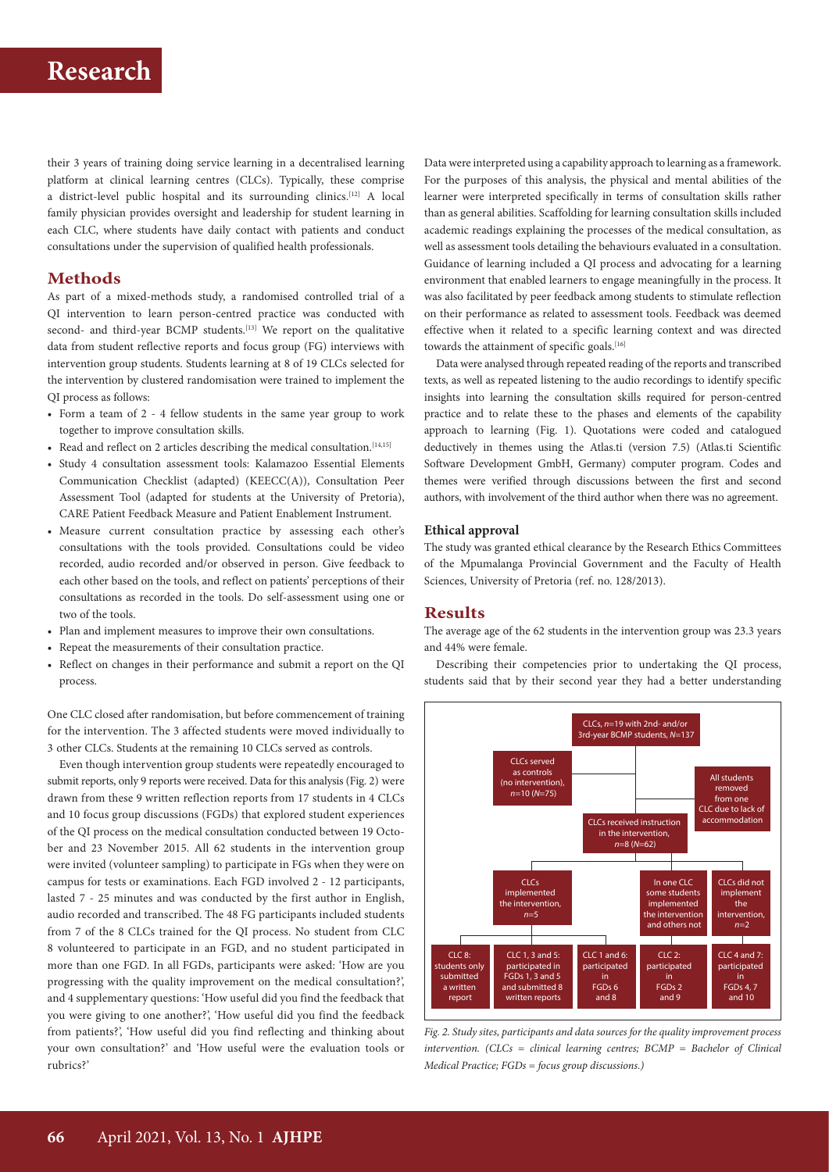their 3 years of training doing service learning in a decentralised learning platform at clinical learning centres (CLCs). Typically, these comprise a district-level public hospital and its surrounding clinics.[12] A local family physician provides oversight and leadership for student learning in each CLC, where students have daily contact with patients and conduct consultations under the supervision of qualified health professionals.

### **Methods**

As part of a mixed-methods study, a randomised controlled trial of a QI intervention to learn person-centred practice was conducted with second- and third-year BCMP students.<sup>[13]</sup> We report on the qualitative data from student reflective reports and focus group (FG) interviews with intervention group students. Students learning at 8 of 19 CLCs selected for the intervention by clustered randomisation were trained to implement the QI process as follows:

- Form a team of 2 4 fellow students in the same year group to work together to improve consultation skills.
- Read and reflect on 2 articles describing the medical consultation.<sup>[14,15]</sup>
- Study 4 consultation assessment tools: Kalamazoo Essential Elements Communication Checklist (adapted) (KEECC(A)), Consultation Peer Assessment Tool (adapted for students at the University of Pretoria), CARE Patient Feedback Measure and Patient Enablement Instrument.
- Measure current consultation practice by assessing each other's consultations with the tools provided. Consultations could be video recorded, audio recorded and/or observed in person. Give feedback to each other based on the tools, and reflect on patients' perceptions of their consultations as recorded in the tools. Do self-assessment using one or two of the tools.
- Plan and implement measures to improve their own consultations.
- Repeat the measurements of their consultation practice.
- Reflect on changes in their performance and submit a report on the QI process.

One CLC closed after randomisation, but before commencement of training for the intervention. The 3 affected students were moved individually to 3 other CLCs. Students at the remaining 10 CLCs served as controls.

Even though intervention group students were repeatedly encouraged to submit reports, only 9 reports were received. Data for this analysis (Fig. 2) were drawn from these 9 written reflection reports from 17 students in 4 CLCs and 10 focus group discussions (FGDs) that explored student experiences of the QI process on the medical consultation conducted between 19 Octo ber and 23 November 2015. All 62 students in the intervention group were invited (volunteer sampling) to participate in FGs when they were on campus for tests or examinations. Each FGD involved 2 - 12 participants, lasted 7 - 25 minutes and was conducted by the first author in English, audio recorded and transcribed. The 48 FG participants included students from 7 of the 8 CLCs trained for the QI process. No student from CLC 8 volunteered to participate in an FGD, and no student participated in more than one FGD. In all FGDs, participants were asked: 'How are you progressing with the quality improvement on the medical consultation?', and 4 supplementary questions: 'How useful did you find the feedback that you were giving to one another?', 'How useful did you find the feedback from patients?', 'How useful did you find reflecting and thinking about your own consultation?' and 'How useful were the evaluation tools or rubrics?'

Data were interpreted using a capability approach to learning as a framework. For the purposes of this analysis, the physical and mental abilities of the learner were interpreted specifically in terms of consultation skills rather than as general abilities. Scaffolding for learning consultation skills included academic readings explaining the processes of the medical consultation, as well as assessment tools detailing the behaviours evaluated in a consultation. Guidance of learning included a QI process and advocating for a learning environment that enabled learners to engage meaningfully in the process. It was also facilitated by peer feedback among students to stimulate reflection on their performance as related to assessment tools. Feedback was deemed effective when it related to a specific learning context and was directed towards the attainment of specific goals.<sup>[16]</sup>

Data were analysed through repeated reading of the reports and transcribed texts, as well as repeated listening to the audio recordings to identify specific insights into learning the consultation skills required for person-centred practice and to relate these to the phases and elements of the capability approach to learning (Fig. 1). Quotations were coded and catalogued deductively in themes using the Atlas.ti (version 7.5) (Atlas.ti Scientific Software Development GmbH, Germany) computer program. Codes and themes were verified through discussions between the first and second authors, with involvement of the third author when there was no agreement.

#### **Ethical approval**

The study was granted ethical clearance by the Research Ethics Committees of the Mpumalanga Provincial Government and the Faculty of Health Sciences, University of Pretoria (ref. no. 128/2013).

### **Results**

The average age of the 62 students in the intervention group was 23.3 years and 44% were female.

Describing their competencies prior to undertaking the QI process, students said that by their second year they had a better understanding



*Fig. 2. Study sites, participants and data sources for the quality improvement process intervention.* (CLCs = clinical learning centres; BCMP = Bachelor of Clinical *Medical Practice; FGDs = focus group discussions.)*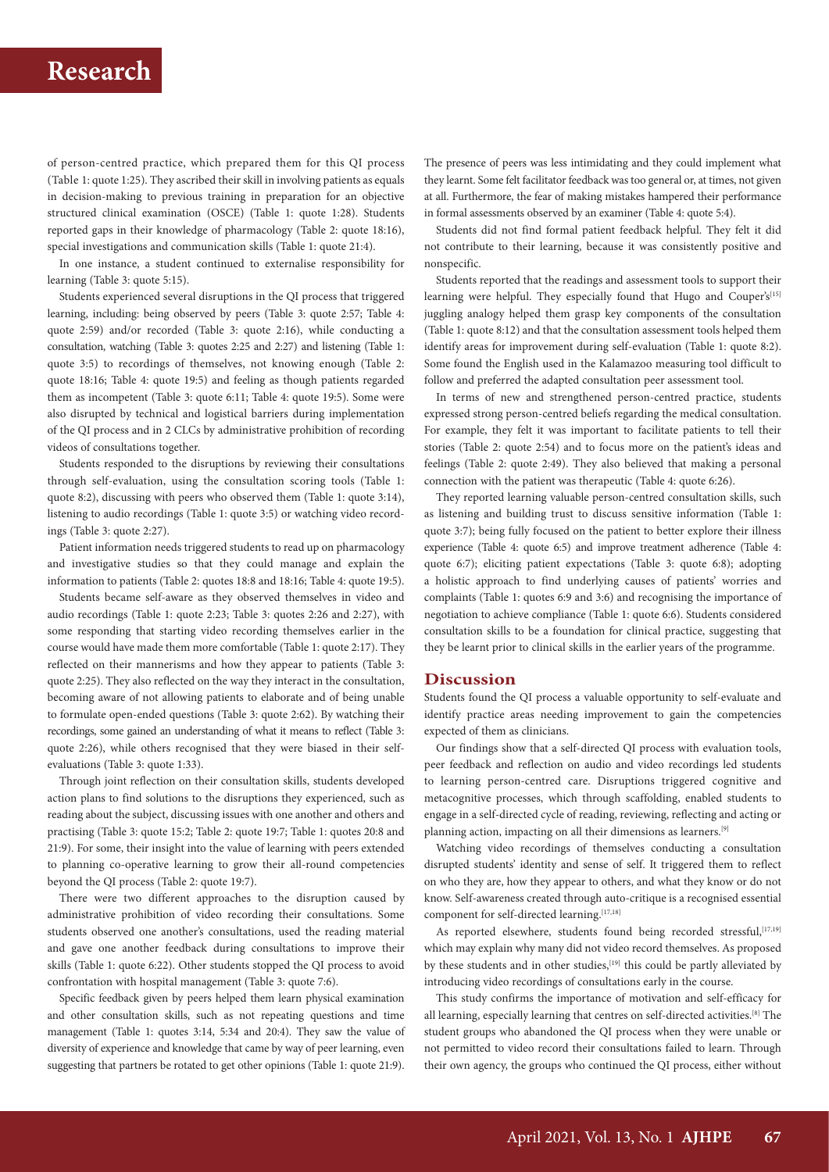of person-centred practice, which prepared them for this QI process (Table 1: quote 1:25). They ascribed their skill in involving patients as equals in decision-making to previous training in preparation for an objective structured clinical examination (OSCE) (Table 1: quote 1:28). Students reported gaps in their knowledge of pharmacology (Table 2: quote 18:16), special investigations and communication skills (Table 1: quote 21:4).

In one instance, a student continued to externalise responsibility for learning (Table 3: quote 5:15).

Students experienced several disruptions in the QI process that triggered learning, including: being observed by peers (Table 3: quote 2:57; Table 4: quote 2:59) and/or recorded (Table 3: quote 2:16), while conducting a consultation, watching (Table 3: quotes 2:25 and 2:27) and listening (Table 1: quote 3:5) to recordings of themselves, not knowing enough (Table 2: quote 18:16; Table 4: quote 19:5) and feeling as though patients regarded them as incompetent (Table 3: quote 6:11; Table 4: quote 19:5). Some were also disrupted by technical and logistical barriers during implementation of the QI process and in 2 CLCs by administrative prohibition of recording videos of consultations together.

Students responded to the disruptions by reviewing their consultations through self-evaluation, using the consultation scoring tools (Table 1: quote 8:2), discussing with peers who observed them (Table 1: quote 3:14), listening to audio recordings (Table 1: quote 3:5) or watching video recordings (Table 3: quote 2:27).

Patient information needs triggered students to read up on pharmacology and investigative studies so that they could manage and explain the information to patients (Table 2: quotes 18:8 and 18:16; Table 4: quote 19:5).

Students became self-aware as they observed themselves in video and audio recordings (Table 1: quote 2:23; Table 3: quotes 2:26 and 2:27), with some responding that starting video recording themselves earlier in the course would have made them more comfortable (Table 1: quote 2:17). They reflected on their mannerisms and how they appear to patients (Table 3: quote 2:25). They also reflected on the way they interact in the consultation, becoming aware of not allowing patients to elaborate and of being unable to formulate open-ended questions (Table 3: quote 2:62). By watching their recordings, some gained an understanding of what it means to reflect (Table 3: quote 2:26), while others recognised that they were biased in their selfevaluations (Table 3: quote 1:33).

Through joint reflection on their consultation skills, students developed action plans to find solutions to the disruptions they experienced, such as reading about the subject, discussing issues with one another and others and practising (Table 3: quote 15:2; Table 2: quote 19:7; Table 1: quotes 20:8 and 21:9). For some, their insight into the value of learning with peers extended to planning co-operative learning to grow their all-round competencies beyond the QI process (Table 2: quote 19:7).

There were two different approaches to the disruption caused by administrative prohibition of video recording their consultations. Some students observed one another's consultations, used the reading material and gave one another feedback during consultations to improve their skills (Table 1: quote 6:22). Other students stopped the QI process to avoid confrontation with hospital management (Table 3: quote 7:6).

Specific feedback given by peers helped them learn physical examination and other consultation skills, such as not repeating questions and time management (Table 1: quotes 3:14, 5:34 and 20:4). They saw the value of diversity of experience and knowledge that came by way of peer learning, even suggesting that partners be rotated to get other opinions (Table 1: quote 21:9).

The presence of peers was less intimidating and they could implement what they learnt. Some felt facilitator feedback was too general or, at times, not given at all. Furthermore, the fear of making mistakes hampered their performance in formal assessments observed by an examiner (Table 4: quote 5:4).

Students did not find formal patient feedback helpful. They felt it did not contribute to their learning, because it was consistently positive and nonspecific.

Students reported that the readings and assessment tools to support their learning were helpful. They especially found that Hugo and Couper's<sup>[15]</sup> juggling analogy helped them grasp key components of the consultation (Table 1: quote 8:12) and that the consultation assessment tools helped them identify areas for improvement during self-evaluation (Table 1: quote 8:2). Some found the English used in the Kalamazoo measuring tool difficult to follow and preferred the adapted consultation peer assessment tool.

In terms of new and strengthened person-centred practice, students expressed strong person-centred beliefs regarding the medical consultation. For example, they felt it was important to facilitate patients to tell their stories (Table 2: quote 2:54) and to focus more on the patient's ideas and feelings (Table 2: quote 2:49). They also believed that making a personal connection with the patient was therapeutic (Table 4: quote 6:26).

They reported learning valuable person-centred consultation skills, such as listening and building trust to discuss sensitive information (Table 1: quote 3:7); being fully focused on the patient to better explore their illness experience (Table 4: quote 6:5) and improve treatment adherence (Table 4: quote 6:7); eliciting patient expectations (Table 3: quote 6:8); adopting a holistic approach to find underlying causes of patients' worries and complaints (Table 1: quotes 6:9 and 3:6) and recognising the importance of negotiation to achieve compliance (Table 1: quote 6:6). Students considered consultation skills to be a foundation for clinical practice, suggesting that they be learnt prior to clinical skills in the earlier years of the programme.

### **Discussion**

Students found the QI process a valuable opportunity to self-evaluate and identify practice areas needing improvement to gain the competencies expected of them as clinicians.

Our findings show that a self-directed QI process with evaluation tools, peer feedback and reflection on audio and video recordings led students to learning person-centred care. Disruptions triggered cognitive and metacognitive processes, which through scaffolding, enabled students to engage in a self-directed cycle of reading, reviewing, reflecting and acting or planning action, impacting on all their dimensions as learners.[9]

Watching video recordings of themselves conducting a consultation disrupted students' identity and sense of self. It triggered them to reflect on who they are, how they appear to others, and what they know or do not know. Self-awareness created through auto-critique is a recognised essential component for self-directed learning.<sup>[17,18]</sup>

As reported elsewhere, students found being recorded stressful, [17,19] which may explain why many did not video record themselves. As proposed by these students and in other studies,<sup>[19]</sup> this could be partly alleviated by introducing video recordings of consultations early in the course.

This study confirms the importance of motivation and self-efficacy for all learning, especially learning that centres on self-directed activities.[8] The student groups who abandoned the QI process when they were unable or not permitted to video record their consultations failed to learn. Through their own agency, the groups who continued the QI process, either without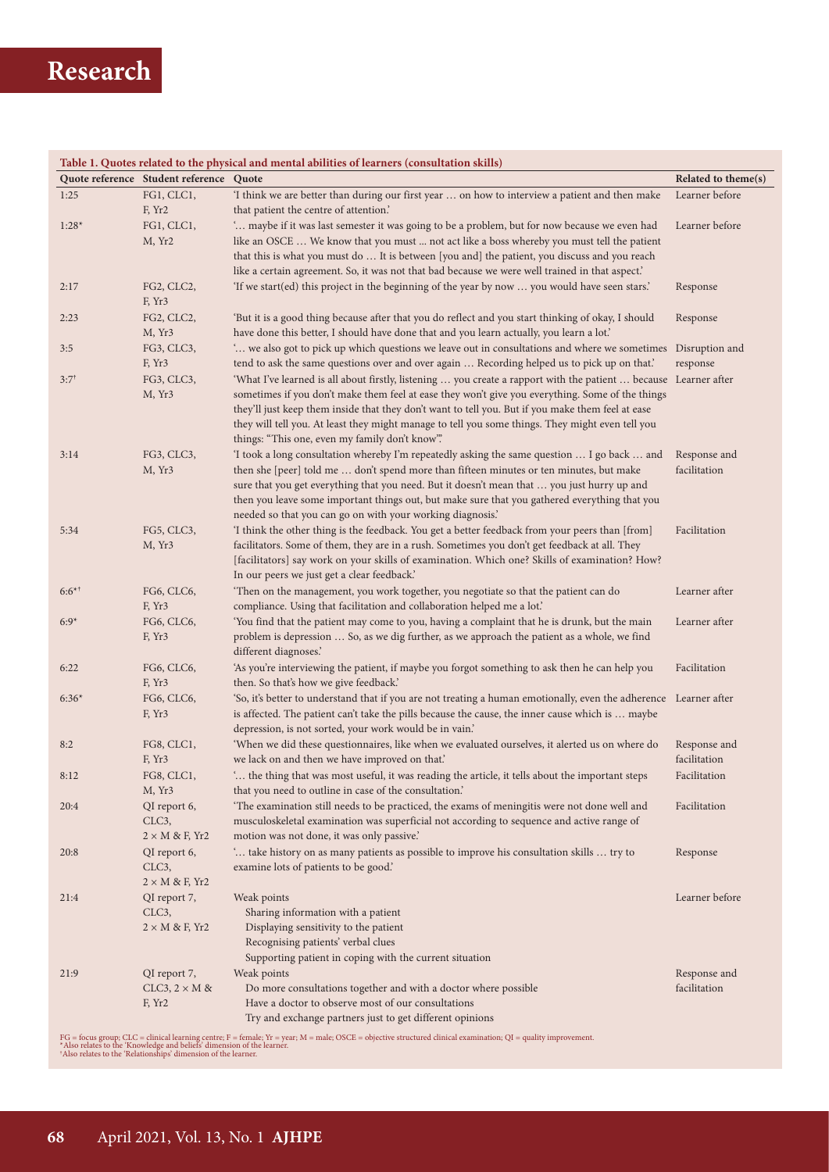|           | Quote reference Student reference Quote | Table 1. Quotes related to the physical and mental abilities of learners (consultation skills)                    | Related to theme(s) |
|-----------|-----------------------------------------|-------------------------------------------------------------------------------------------------------------------|---------------------|
| 1:25      | FG1, CLC1,                              | 'I think we are better than during our first year  on how to interview a patient and then make                    | Learner before      |
|           | F, Yr2                                  | that patient the centre of attention.'                                                                            |                     |
| $1:28*$   | FG1, CLC1,                              | ' maybe if it was last semester it was going to be a problem, but for now because we even had                     | Learner before      |
|           | M, Yr2                                  | like an OSCE  We know that you must  not act like a boss whereby you must tell the patient                        |                     |
|           |                                         | that this is what you must do  It is between [you and] the patient, you discuss and you reach                     |                     |
|           |                                         | like a certain agreement. So, it was not that bad because we were well trained in that aspect.'                   |                     |
| 2:17      | FG2, CLC2,                              | 'If we start(ed) this project in the beginning of the year by now  you would have seen stars.'                    | Response            |
|           | F, Yr3                                  |                                                                                                                   |                     |
| 2:23      | FG2, CLC2,                              | 'But it is a good thing because after that you do reflect and you start thinking of okay, I should                | Response            |
|           | M, Yr3                                  | have done this better, I should have done that and you learn actually, you learn a lot.'                          |                     |
| 3:5       | FG3, CLC3,                              | we also got to pick up which questions we leave out in consultations and where we sometimes Disruption and        |                     |
|           | F, Yr3                                  | tend to ask the same questions over and over again  Recording helped us to pick up on that.'                      | response            |
| $3:7^{+}$ | FG3, CLC3,                              | 'What I've learned is all about firstly, listening  you create a rapport with the patient  because Learner after  |                     |
|           | M, Yr3                                  | sometimes if you don't make them feel at ease they won't give you everything. Some of the things                  |                     |
|           |                                         | they'll just keep them inside that they don't want to tell you. But if you make them feel at ease                 |                     |
|           |                                         | they will tell you. At least they might manage to tell you some things. They might even tell you                  |                     |
|           |                                         | things: "This one, even my family don't know".                                                                    |                     |
| 3:14      | FG3, CLC3,                              | 'I took a long consultation whereby I'm repeatedly asking the same question  I go back  and                       | Response and        |
|           | M, Yr3                                  | then she [peer] told me  don't spend more than fifteen minutes or ten minutes, but make                           | facilitation        |
|           |                                         | sure that you get everything that you need. But it doesn't mean that  you just hurry up and                       |                     |
|           |                                         | then you leave some important things out, but make sure that you gathered everything that you                     |                     |
|           |                                         | needed so that you can go on with your working diagnosis.'                                                        |                     |
| 5:34      | FG5, CLC3,                              | 'I think the other thing is the feedback. You get a better feedback from your peers than [from]                   | Facilitation        |
|           | M, Yr3                                  | facilitators. Some of them, they are in a rush. Sometimes you don't get feedback at all. They                     |                     |
|           |                                         | [facilitators] say work on your skills of examination. Which one? Skills of examination? How?                     |                     |
|           |                                         | In our peers we just get a clear feedback.'                                                                       |                     |
| $6:6^{*}$ | FG6, CLC6,                              | 'Then on the management, you work together, you negotiate so that the patient can do                              | Learner after       |
|           | F, Yr3                                  | compliance. Using that facilitation and collaboration helped me a lot.'                                           |                     |
| $6:9*$    | FG6, CLC6,                              | 'You find that the patient may come to you, having a complaint that he is drunk, but the main                     | Learner after       |
|           | F, Yr3                                  | problem is depression  So, as we dig further, as we approach the patient as a whole, we find                      |                     |
|           |                                         | different diagnoses.'                                                                                             |                     |
| 6:22      | FG6, CLC6,                              | 'As you're interviewing the patient, if maybe you forgot something to ask then he can help you                    | Facilitation        |
|           | F, Yr3                                  | then. So that's how we give feedback.'                                                                            |                     |
| $6:36*$   | FG6, CLC6,                              | 'So, it's better to understand that if you are not treating a human emotionally, even the adherence Learner after |                     |
|           | F, Yr3                                  | is affected. The patient can't take the pills because the cause, the inner cause which is  maybe                  |                     |
|           |                                         | depression, is not sorted, your work would be in vain.'                                                           |                     |
| 8:2       | FG8, CLC1,                              | 'When we did these questionnaires, like when we evaluated ourselves, it alerted us on where do                    | Response and        |
|           | F, Yr3                                  | we lack on and then we have improved on that.'                                                                    | facilitation        |
| 8:12      | FG8, CLC1,                              | ' the thing that was most useful, it was reading the article, it tells about the important steps                  | Facilitation        |
|           | M, Yr3                                  | that you need to outline in case of the consultation.'                                                            |                     |
| 20:4      | QI report 6,                            | 'The examination still needs to be practiced, the exams of meningitis were not done well and                      | Facilitation        |
|           | CLC <sub>3</sub> ,                      | musculoskeletal examination was superficial not according to sequence and active range of                         |                     |
|           | $2 \times M$ & F, Yr2                   | motion was not done, it was only passive.'                                                                        |                     |
| 20:8      | QI report 6,                            | ' take history on as many patients as possible to improve his consultation skills  try to                         | Response            |
|           | CLC3,                                   | examine lots of patients to be good.                                                                              |                     |
|           | $2 \times M$ & F, Yr2                   |                                                                                                                   |                     |
| 21:4      | QI report 7,                            | Weak points                                                                                                       | Learner before      |
|           | CLC <sub>3</sub> ,                      | Sharing information with a patient                                                                                |                     |
|           | $2 \times M$ & F, Yr2                   | Displaying sensitivity to the patient                                                                             |                     |
|           |                                         | Recognising patients' verbal clues                                                                                |                     |
|           |                                         | Supporting patient in coping with the current situation                                                           |                     |
| 21:9      | QI report 7,                            | Weak points                                                                                                       | Response and        |
|           | CLC3, $2 \times M$ &                    | Do more consultations together and with a doctor where possible                                                   | facilitation        |
|           | F, Yr2                                  | Have a doctor to observe most of our consultations                                                                |                     |
|           |                                         | Try and exchange partners just to get different opinions                                                          |                     |

FG = focus group; CLC = clinical learning centre; F = female; Yr = year; M = male; OSCE = objective structured clinical examination; QI = quality improvement.<br>\*Also relates to the 'Rnowledge and beliefs' dimension of the l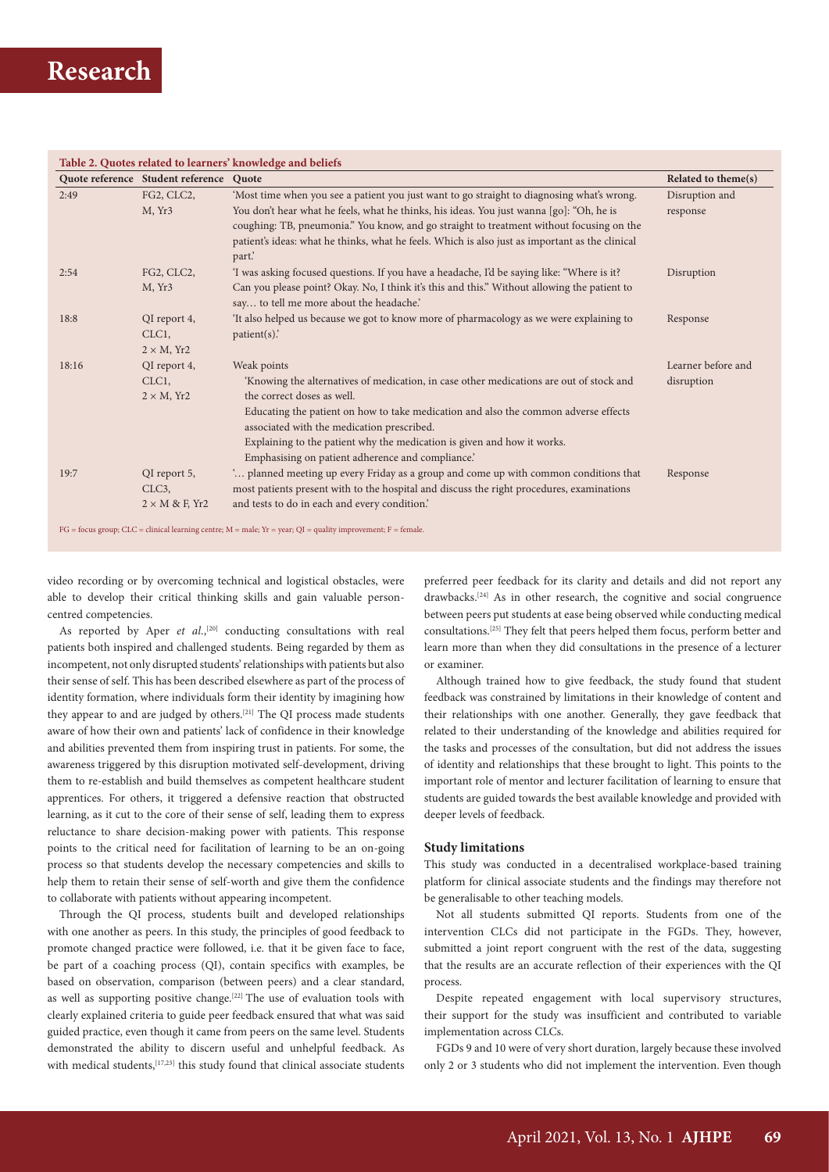|       | Quote reference Student reference                        | Quote                                                                                                                                                                                                                                  | Related to theme(s)        |
|-------|----------------------------------------------------------|----------------------------------------------------------------------------------------------------------------------------------------------------------------------------------------------------------------------------------------|----------------------------|
| 2:49  | FG2, CLC2,<br>M, Yr <sub>3</sub>                         | 'Most time when you see a patient you just want to go straight to diagnosing what's wrong.<br>You don't hear what he feels, what he thinks, his ideas. You just wanna [go]: "Oh, he is                                                 | Disruption and<br>response |
|       |                                                          | coughing: TB, pneumonia." You know, and go straight to treatment without focusing on the<br>patient's ideas: what he thinks, what he feels. Which is also just as important as the clinical<br>part.                                   |                            |
| 2:54  | FG2, CLC2,<br>M, Yr <sub>3</sub>                         | 'I was asking focused questions. If you have a headache, I'd be saying like: "Where is it?<br>Can you please point? Okay. No, I think it's this and this." Without allowing the patient to<br>say to tell me more about the headache.' | Disruption                 |
| 18:8  | QI report 4,<br>CLC <sub>1</sub> ,<br>$2 \times M$ , Yr2 | It also helped us because we got to know more of pharmacology as we were explaining to<br>$patient(s)$ .                                                                                                                               | Response                   |
| 18:16 | QI report 4,                                             | Weak points                                                                                                                                                                                                                            | Learner before and         |
|       | CLC <sub>1</sub><br>$2 \times M$ , Yr2                   | 'Knowing the alternatives of medication, in case other medications are out of stock and<br>the correct doses as well.                                                                                                                  | disruption                 |
|       |                                                          | Educating the patient on how to take medication and also the common adverse effects<br>associated with the medication prescribed.                                                                                                      |                            |
|       |                                                          | Explaining to the patient why the medication is given and how it works.<br>Emphasising on patient adherence and compliance.                                                                                                            |                            |
| 19:7  | QI report 5,                                             | planned meeting up every Friday as a group and come up with common conditions that                                                                                                                                                     | Response                   |
|       | CLC <sub>3</sub> ,                                       | most patients present with to the hospital and discuss the right procedures, examinations                                                                                                                                              |                            |
|       | $2 \times M$ & F, Yr2                                    | and tests to do in each and every condition.                                                                                                                                                                                           |                            |

 $FG = focus group; CLC = clinical learning centre; M = male; Yr = year; QI = quality improvement; F = female.$ 

video recording or by overcoming technical and logistical obstacles, were able to develop their critical thinking skills and gain valuable personcentred competencies.

As reported by Aper et al.,<sup>[20]</sup> conducting consultations with real patients both inspired and challenged students. Being regarded by them as incompetent, not only disrupted students' relationships with patients but also their sense of self. This has been described elsewhere as part of the process of identity formation, where individuals form their identity by imagining how they appear to and are judged by others.[21] The QI process made students aware of how their own and patients' lack of confidence in their knowledge and abilities prevented them from inspiring trust in patients. For some, the awareness triggered by this disruption motivated self-development, driving them to re-establish and build themselves as competent healthcare student apprentices. For others, it triggered a defensive reaction that obstructed learning, as it cut to the core of their sense of self, leading them to express reluctance to share decision-making power with patients. This response points to the critical need for facilitation of learning to be an on-going process so that students develop the necessary competencies and skills to help them to retain their sense of self-worth and give them the confidence to collaborate with patients without appearing incompetent.

Through the QI process, students built and developed relationships with one another as peers. In this study, the principles of good feedback to promote changed practice were followed, i.e. that it be given face to face, be part of a coaching process (QI), contain specifics with examples, be based on observation, comparison (between peers) and a clear standard, as well as supporting positive change.<sup>[22]</sup> The use of evaluation tools with clearly explained criteria to guide peer feedback ensured that what was said guided practice, even though it came from peers on the same level. Students demonstrated the ability to discern useful and unhelpful feedback. As with medical students,<sup>[17,23]</sup> this study found that clinical associate students preferred peer feedback for its clarity and details and did not report any drawbacks.[24] As in other research, the cognitive and social congruence between peers put students at ease being observed while conducting medical consultations.[25] They felt that peers helped them focus, perform better and learn more than when they did consultations in the presence of a lecturer or examiner.

Although trained how to give feedback, the study found that student feedback was constrained by limitations in their knowledge of content and their relationships with one another. Generally, they gave feedback that related to their understanding of the knowledge and abilities required for the tasks and processes of the consultation, but did not address the issues of identity and relationships that these brought to light. This points to the important role of mentor and lecturer facilitation of learning to ensure that students are guided towards the best available knowledge and provided with deeper levels of feedback.

#### **Study limitations**

This study was conducted in a decentralised workplace-based training platform for clinical associate students and the findings may therefore not be generalisable to other teaching models.

Not all students submitted QI reports. Students from one of the intervention CLCs did not participate in the FGDs. They, however, submitted a joint report congruent with the rest of the data, suggesting that the results are an accurate reflection of their experiences with the QI process.

Despite repeated engagement with local supervisory structures, their support for the study was insufficient and contributed to variable implementation across CLCs.

FGDs 9 and 10 were of very short duration, largely because these involved only 2 or 3 students who did not implement the intervention. Even though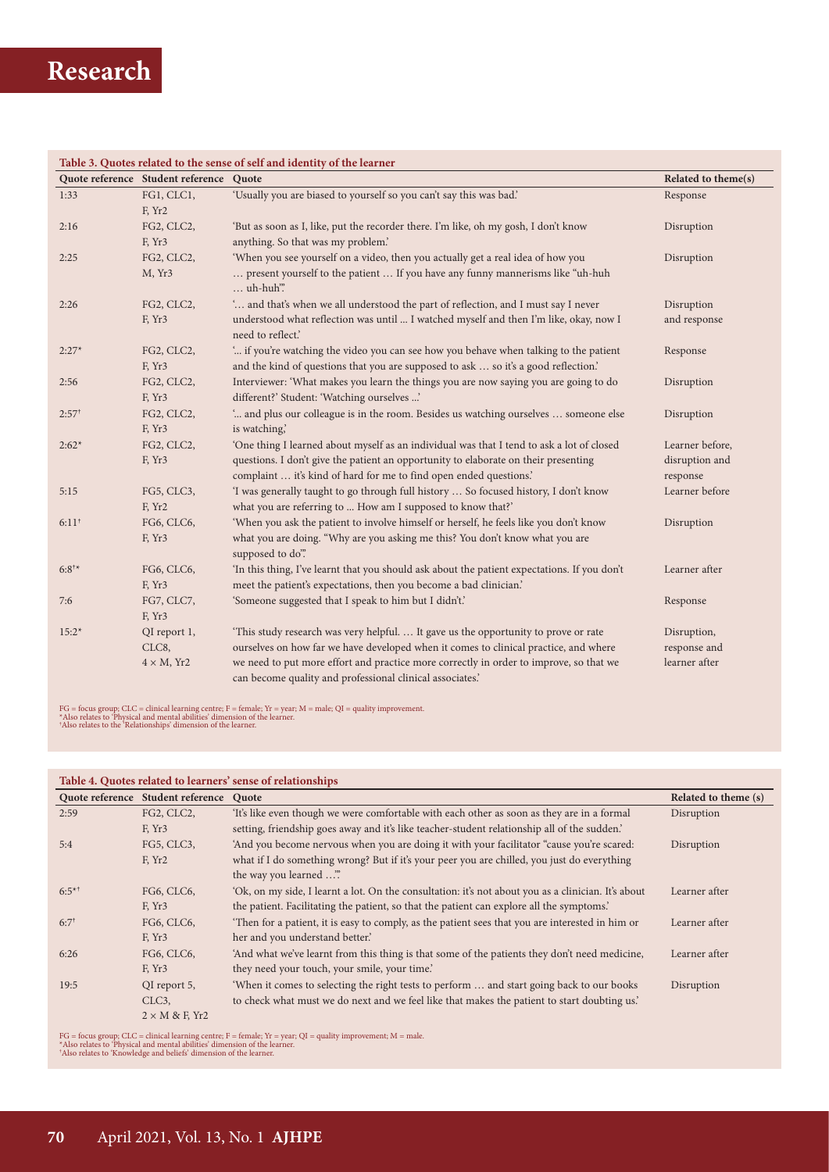| Table 3. Quotes related to the sense of self and identity of the learner |                                         |                                                                                                           |                     |  |  |  |
|--------------------------------------------------------------------------|-----------------------------------------|-----------------------------------------------------------------------------------------------------------|---------------------|--|--|--|
|                                                                          | Quote reference Student reference Quote |                                                                                                           | Related to theme(s) |  |  |  |
| 1:33                                                                     | FG1, CLC1,                              | 'Usually you are biased to yourself so you can't say this was bad.'                                       | Response            |  |  |  |
|                                                                          | F, Yr2                                  |                                                                                                           |                     |  |  |  |
| 2:16                                                                     | FG2, CLC2,                              | 'But as soon as I, like, put the recorder there. I'm like, oh my gosh, I don't know                       | Disruption          |  |  |  |
|                                                                          | F, Yr <sub>3</sub>                      | anything. So that was my problem.'                                                                        |                     |  |  |  |
| 2:25                                                                     | FG2, CLC2,                              | 'When you see yourself on a video, then you actually get a real idea of how you                           | Disruption          |  |  |  |
|                                                                          | M, Yr3                                  | present yourself to the patient  If you have any funny mannerisms like "uh-huh<br>uh-huh".                |                     |  |  |  |
| 2:26                                                                     | FG2, CLC2,                              | ' and that's when we all understood the part of reflection, and I must say I never                        | Disruption          |  |  |  |
|                                                                          | F, Yr3                                  | understood what reflection was until  I watched myself and then I'm like, okay, now I<br>need to reflect. | and response        |  |  |  |
| $2:27*$                                                                  | FG2, CLC2,                              | " if you're watching the video you can see how you behave when talking to the patient                     | Response            |  |  |  |
|                                                                          | F, Yr <sub>3</sub>                      | and the kind of questions that you are supposed to ask  so it's a good reflection.'                       |                     |  |  |  |
| 2:56                                                                     | FG2, CLC2,                              | Interviewer: 'What makes you learn the things you are now saying you are going to do                      | Disruption          |  |  |  |
|                                                                          | F, Yr <sub>3</sub>                      | different?' Student: 'Watching ourselves '                                                                |                     |  |  |  |
| $2:57^{\dagger}$                                                         | FG2, CLC2,                              | ' and plus our colleague is in the room. Besides us watching ourselves  someone else                      | Disruption          |  |  |  |
|                                                                          | F, Yr <sub>3</sub>                      | is watching,                                                                                              |                     |  |  |  |
| $2:62*$                                                                  | FG2, CLC2,                              | 'One thing I learned about myself as an individual was that I tend to ask a lot of closed                 | Learner before,     |  |  |  |
|                                                                          | F, Yr <sub>3</sub>                      | questions. I don't give the patient an opportunity to elaborate on their presenting                       | disruption and      |  |  |  |
|                                                                          |                                         | complaint  it's kind of hard for me to find open ended questions.'                                        | response            |  |  |  |
| 5:15                                                                     | FG5, CLC3,                              | 'I was generally taught to go through full history  So focused history, I don't know                      | Learner before      |  |  |  |
|                                                                          | F, Yr2                                  | what you are referring to  How am I supposed to know that?'                                               |                     |  |  |  |
| $6:11^{+}$                                                               | FG6, CLC6,                              | 'When you ask the patient to involve himself or herself, he feels like you don't know                     | Disruption          |  |  |  |
|                                                                          | F, Yr <sub>3</sub>                      | what you are doing. "Why are you asking me this? You don't know what you are<br>supposed to do".          |                     |  |  |  |
| $6:8^{+*}$                                                               | FG6, CLC6,                              | 'In this thing, I've learnt that you should ask about the patient expectations. If you don't              | Learner after       |  |  |  |
|                                                                          | F, Yr3                                  | meet the patient's expectations, then you become a bad clinician.'                                        |                     |  |  |  |
| 7:6                                                                      | FG7, CLC7,                              | 'Someone suggested that I speak to him but I didn't.'                                                     | Response            |  |  |  |
|                                                                          | F, Yr <sub>3</sub>                      |                                                                                                           |                     |  |  |  |
| $15:2*$                                                                  | QI report 1,                            | 'This study research was very helpful.  It gave us the opportunity to prove or rate                       | Disruption,         |  |  |  |
|                                                                          | CLC8,                                   | ourselves on how far we have developed when it comes to clinical practice, and where                      | response and        |  |  |  |
|                                                                          | $4 \times M$ , Yr2                      | we need to put more effort and practice more correctly in order to improve, so that we                    | learner after       |  |  |  |
|                                                                          |                                         | can become quality and professional clinical associates.'                                                 |                     |  |  |  |

FG = focus group; CLC = clinical learning centre; F = female; Yr = year; M = male; QI = quality improvement.<br>\*Also relates to 'Physical and mental abilities' dimension of the learner.<br>\*Also relates to the 'Relationships' d

### **Table 4. Quotes related to learners' sense of relationships**

|            | Quote reference Student reference | Ouote                                                                                               | Related to theme (s) |
|------------|-----------------------------------|-----------------------------------------------------------------------------------------------------|----------------------|
| 2:59       | FG2, CLC2,                        | 'It's like even though we were comfortable with each other as soon as they are in a formal          | Disruption           |
|            | F, Yr3                            | setting, friendship goes away and it's like teacher-student relationship all of the sudden.'        |                      |
| 5:4        | FG5, CLC3,                        | 'And you become nervous when you are doing it with your facilitator "cause you're scared:           | Disruption           |
|            | F, Yr2                            | what if I do something wrong? But if it's your peer you are chilled, you just do everything         |                      |
|            |                                   | the way you learned "                                                                               |                      |
| $6:5^{*+}$ | FG6, CLC6,                        | 'Ok, on my side, I learnt a lot. On the consultation: it's not about you as a clinician. It's about | Learner after        |
|            | F, Yr3                            | the patient. Facilitating the patient, so that the patient can explore all the symptoms.'           |                      |
| $6:7^{+}$  | FG6, CLC6,                        | Then for a patient, it is easy to comply, as the patient sees that you are interested in him or     | Learner after        |
|            | F, Yr3                            | her and you understand better.                                                                      |                      |
| 6:26       | FG6, CLC6,                        | 'And what we've learnt from this thing is that some of the patients they don't need medicine,       | Learner after        |
|            | F, Yr3                            | they need your touch, your smile, your time.                                                        |                      |
| 19:5       | QI report 5,                      | 'When it comes to selecting the right tests to perform  and start going back to our books           | Disruption           |
|            | CLC <sub>3</sub>                  | to check what must we do next and we feel like that makes the patient to start doubting us.         |                      |
|            | $2 \times M$ & F, Yr2             |                                                                                                     |                      |

FG = focus group; CLC = clinical learning centre; F = female; Yr = year; QI = quality improvement; M = male.<br>\*Also relates to 'Physical and mental abilities' dimension of the learner.<br>\*Also relates to 'Knowledge and belief